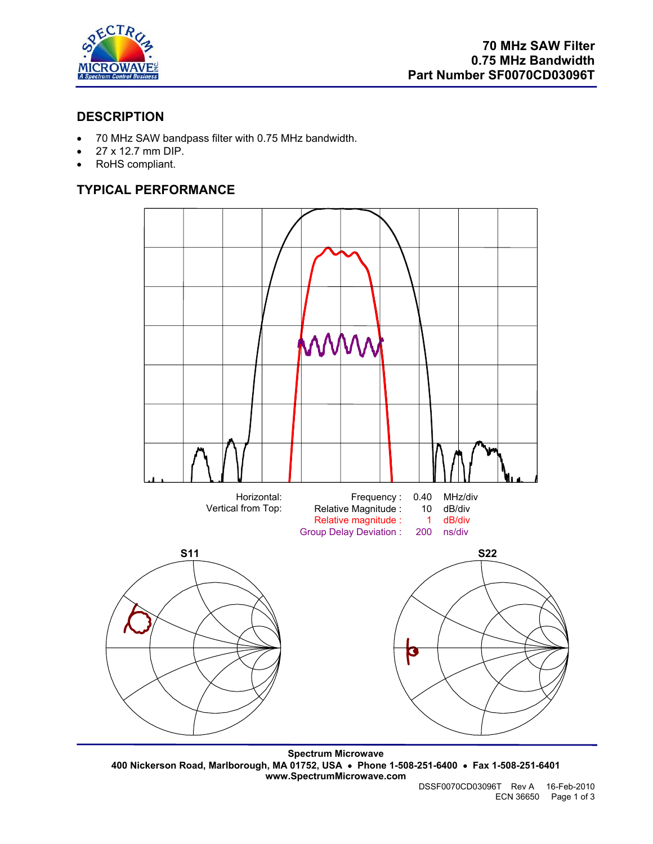

## **DESCRIPTION**

- 70 MHz SAW bandpass filter with 0.75 MHz bandwidth.
- 27 x 12.7 mm DIP.
- RoHS compliant.

# **TYPICAL PERFORMANCE**



**Spectrum Microwave 400 Nickerson Road, Marlborough, MA 01752, USA** • **Phone 1-508-251-6400** • **Fax 1-508-251-6401 www.SpectrumMicrowave.com**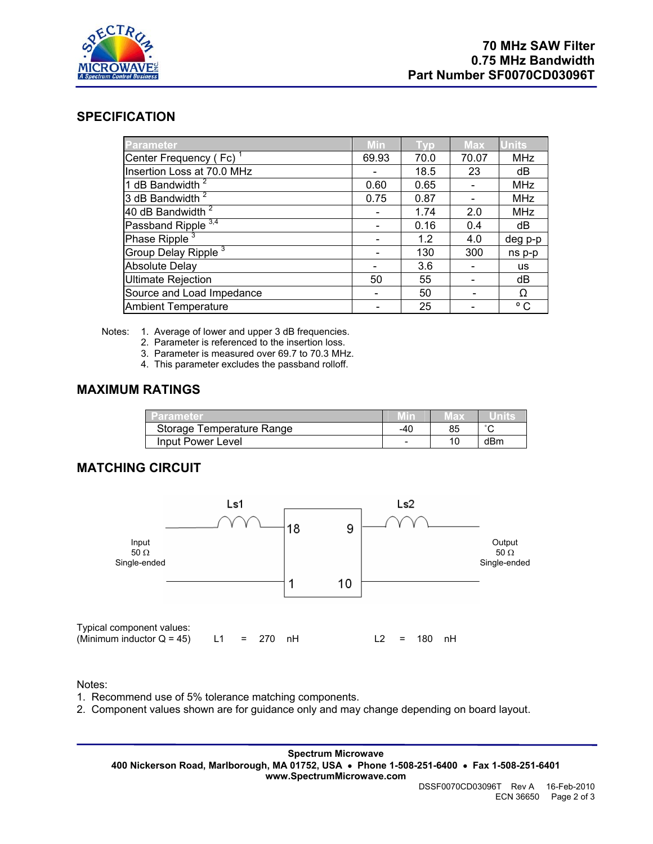

### **SPECIFICATION**

| <b>Parameter</b>                | <b>Min</b> | Tvp  | <b>Max</b> | <b>Units</b> |
|---------------------------------|------------|------|------------|--------------|
| Center Frequency (Fc)           | 69.93      | 70.0 | 70.07      | <b>MHz</b>   |
| Insertion Loss at 70.0 MHz      |            | 18.5 | 23         | dB           |
| 1 dB Bandwidth <sup>2</sup>     | 0.60       | 0.65 |            | <b>MHz</b>   |
| 3 dB Bandwidth <sup>2</sup>     | 0.75       | 0.87 |            | <b>MHz</b>   |
| 40 dB Bandwidth $\sqrt{2}$      |            | 1.74 | 2.0        | <b>MHz</b>   |
| Passband Ripple <sup>3,4</sup>  |            | 0.16 | 0.4        | dB           |
| Phase Ripple <sup>3</sup>       |            | 1.2  | 4.0        | deg p-p      |
| Group Delay Ripple <sup>3</sup> |            | 130  | 300        | ns p-p       |
| <b>Absolute Delay</b>           |            | 3.6  |            | <b>us</b>    |
| <b>Ultimate Rejection</b>       | 50         | 55   |            | dB           |
| Source and Load Impedance       |            | 50   |            | Ω            |
| <b>Ambient Temperature</b>      |            | 25   |            | $^{\circ}$ C |

Notes: 1. Average of lower and upper 3 dB frequencies.

2. Parameter is referenced to the insertion loss.

- 3. Parameter is measured over 69.7 to 70.3 MHz.
- 4. This parameter excludes the passband rolloff.

#### **MAXIMUM RATINGS**

| <b>Parameter</b>          |     | 71 F.D. |        |
|---------------------------|-----|---------|--------|
| Storage Temperature Range | -40 | 85      | $\sim$ |
| Input Power Level         | -   | 10      | dBm    |

### **MATCHING CIRCUIT**



Notes:

- 1. Recommend use of 5% tolerance matching components.
- 2. Component values shown are for guidance only and may change depending on board layout.

**Spectrum Microwave 400 Nickerson Road, Marlborough, MA 01752, USA** • **Phone 1-508-251-6400** • **Fax 1-508-251-6401 www.SpectrumMicrowave.com**